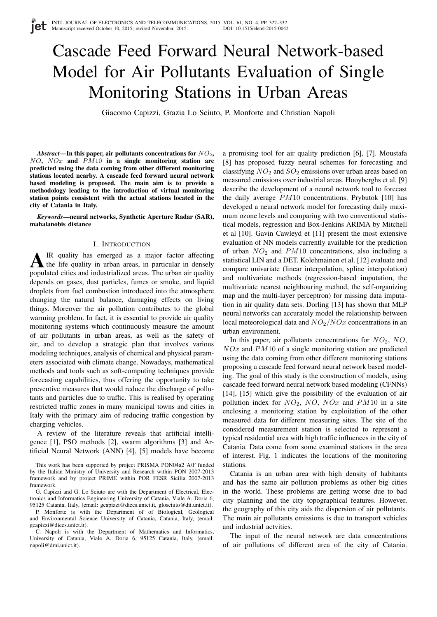# Cascade Feed Forward Neural Network-based Model for Air Pollutants Evaluation of Single Monitoring Stations in Urban Areas

Giacomo Capizzi, Grazia Lo Sciuto, P. Monforte and Christian Napoli

*Abstract*—In this paper, air pollutants concentrations for  $NO<sub>2</sub>$ ,  $NO$ ,  $NOx$  and  $PM10$  in a single monitoring station are predicted using the data coming from other different monitoring stations located nearby. A cascade feed forward neural network based modeling is proposed. The main aim is to provide a methodology leading to the introduction of virtual monitoring station points consistent with the actual stations located in the city of Catania in Italy.

*Keywords*—neural networks, Synthetic Aperture Radar (SAR), mahalanobis distance

### I. INTRODUCTION

 $\mathbf{\Lambda}$  IR quality has emerged as a major factor affecting<br>the life quality in urban areas, in particular in densely IR quality has emerged as a major factor affecting populated cities and industrialized areas. The urban air quality depends on gases, dust particles, fumes or smoke, and liquid droplets from fuel combustion introduced into the atmosphere changing the natural balance, damaging effects on living things. Moreover the air pollution contributes to the global warming problem. In fact, it is essential to provide air quality monitoring systems which continuously measure the amount of air pollutants in urban areas, as well as the safety of air, and to develop a strategic plan that involves various modeling techniques, analysis of chemical and physical parameters associated with climate change. Nowadays, mathematical methods and tools such as soft-computing techniques provide forecasting capabilities, thus offering the opportunity to take preventive measures that would reduce the discharge of pollutants and particles due to traffic. This is realised by operating restricted traffic zones in many municipal towns and cities in Italy with the primary aim of reducing traffic congestion by charging vehicles.

A review of the literature reveals that artificial intelligence [1], PSO methods [2], swarm algorithms [3] and Artificial Neural Network (ANN) [4], [5] models have become

This work has been supported by project PRISMA PON04a2 A/F funded by the Italian Ministry of University and Research within PON 2007-2013 framework and by project PRIME within POR FESR Sicilia 2007-2013 framework.

G. Capizzi and G. Lo Sciuto are with the Department of Electrical, Electronics and Informatics Engineering University of Catania, Viale A. Doria 6, 95125 Catania, Italy, (email: gcapizzi@diees.unict.it, glosciuto@dii.unict.it).

P. Monforte is with the Department of of Biological, Geological and Environmental Science University of Catania, Catania, Italy, (email: gcapizzi@diees.unict.it).

C. Napoli is with the Department of Mathematics and Informatics, University of Catania, Viale A. Doria 6, 95125 Catania, Italy, (email: napoli@dmi.unict.it).

a promising tool for air quality prediction [6], [7]. Moustafa [8] has proposed fuzzy neural schemes for forecasting and classifying  $NO<sub>2</sub>$  and  $SO<sub>2</sub>$  emissions over urban areas based on measured emissions over industrial areas. Hooyberghs et al. [9] describe the development of a neural network tool to forecast the daily average PM10 concentrations. Prybutok [10] has developed a neural network model for forecasting daily maximum ozone levels and comparing with two conventional statistical models, regression and Box-Jenkins ARIMA by Mitchell et al [10]. Gavin Cawleyd et [11] present the most extensive evaluation of NN models currently available for the prediction of urban  $NO<sub>2</sub>$  and  $PM10$  concentrations, also including a statistical LIN and a DET. Kolehmainen et al. [12] evaluate and compare univariate (linear interpolation, spline interpolation) and multivariate methods (regression-based imputation, the multivariate nearest neighbouring method, the self-organizing map and the multi-layer perceptron) for missing data imputation in air quality data sets. Dorling [13] has shown that MLP neural networks can accurately model the relationship between local meteorological data and  $NO<sub>2</sub>/NOx$  concentrations in an urban environment.

In this paper, air pollutants concentrations for  $NO<sub>2</sub>$ ,  $NO<sub>2</sub>$ ,  $NOx$  and  $PM10$  of a single monitoring station are predicted using the data coming from other different monitoring stations proposing a cascade feed forward neural network based modeling. The goal of this study is the construction of models, using cascade feed forward neural network based modeling (CFNNs) [14], [15] which give the possibility of the evaluation of air pollution index for  $NO_2$ ,  $NO$ ,  $NOx$  and  $PM10$  in a site enclosing a monitoring station by exploitation of the other measured data for different measuring sites. The site of the considered measurement station is selected to represent a typical residential area with high traffic influences in the city of Catania. Data come from some examined stations in the area of interest. Fig. 1 indicates the locations of the monitoring stations.

Catania is an urban area with high density of habitants and has the same air pollution problems as other big cities in the world. These problems are getting worse due to bad city planning and the city topographical features. However, the geography of this city aids the dispersion of air pollutants. The main air pollutants emissions is due to transport vehicles and industrial actvities.

The input of the neural network are data concentrations of air pollutions of different area of the city of Catania.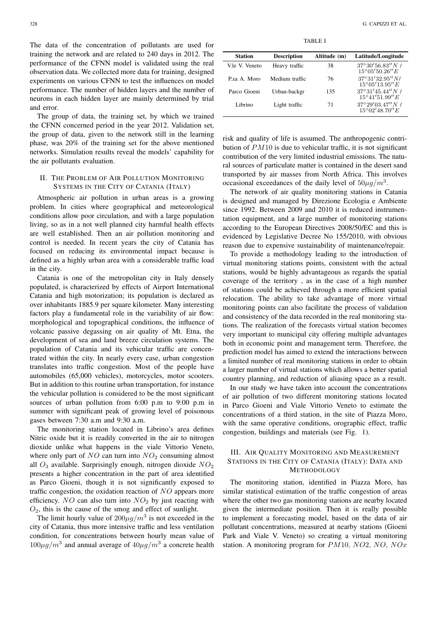The data of the concentration of pollutants are used for training the network and are related to 240 days in 2012. The performance of the CFNN model is validated using the real observation data. We collected more data for training, designed experiments on various CFNN to test the influences on model performance. The number of hidden layers and the number of neurons in each hidden layer are mainly determined by trial and error.

The group of data, the training set, by which we trained the CFNN concerned period in the year 2012. Validation set, the group of data, given to the network still in the learning phase, was 20% of the training set for the above mentioned networks. Simulation results reveal the models' capability for the air pollutants evaluation.

## II. THE PROBLEM OF AIR POLLUTION MONITORING SYSTEMS IN THE CITY OF CATANIA (ITALY)

Atmospheric air pollution in urban areas is a growing problem. In cities where geographical and meteorological conditions allow poor circulation, and with a large population living, so as in a not well planned city harmful health effects are well established. Then an air pollution monitoring and control is needed. In recent years the city of Catania has focused on reducing its environmental impact because is defined as a highly urban area with a considerable traffic load in the city.

Catania is one of the metropolitan city in Italy densely populated, is characterized by effects of Airport International Catania and high motorization; its population is declared as over inhabitants 1885.9 per square kilometer. Many interesting factors play a fundamental role in the variability of air flow: morphological and topographical conditions, the influence of volcanic passive degassing on air quality of Mt. Etna, the development of sea and land breeze circulation systems. The population of Catania and its vehicular traffic are concentrated within the city. In nearly every case, urban congestion translates into traffic congestion. Most of the people have automobiles (65,000 vehicles), motorcycles, motor scooters. But in addition to this routine urban transportation, for instance the vehicular pollution is considered to be the most significant sources of urban pollution from 6:00 p.m to 9:00 p.m in summer with significant peak of growing level of poisonous gases between 7:30 a.m and 9:30 a.m.

The monitoring station located in Librino's area defines Nitric oxide but it is readily converted in the air to nitrogen dioxide unlike what happens in the viale Vittorio Veneto, where only part of  $NO$  can turn into  $NO<sub>2</sub>$  consuming almost all  $O_3$  available. Surprisingly enough, nitrogen dioxide  $NO_2$ presents a higher concentration in the part of area identified as Parco Gioeni, though it is not significantly exposed to traffic congestion, the oxidation reaction of NO appears more efficiency. NO can also turn into  $NO<sub>2</sub>$  by just reacting with  $O_2$ , this is the cause of the smog and effect of sunlight.

The limit hourly value of  $200\mu g/m^3$  is not exceeded in the city of Catania, thus more intensive traffic and less ventilation condition, for concentrations between hourly mean value of  $100\mu g/m^3$  and annual average of  $40\mu g/m^3$  a concrete health

TABLE I

| <b>Station</b> | <b>Description</b> | Altitude (m) | Latitude/Longitude                                   |
|----------------|--------------------|--------------|------------------------------------------------------|
| V.le V. Veneto | Heavy traffic      | 38           | $37^{\circ}30'56.83''N/$<br>$15^{\circ}05'50.26''E$  |
| Pza A. Moro    | Medium traffic     | 76           | $37^{\circ}31'32.95''$ N/<br>$15^{\circ}05'13.95''E$ |
| Parco Gioeni   | Urban-backgr       | 135          | $37^{\circ}31'45.44''N$ /<br>$15^{\circ}41'51.99''E$ |
| Librino        | Light traffic      | 71           | $37^{\circ}29'03.47''N$ /<br>$15^{\circ}02'48.70''E$ |

risk and quality of life is assumed. The anthropogenic contribution of PM10 is due to vehicular traffic, it is not significant contribution of the very limited industrial emissions. The natural sources of particulate matter is contained in the desert sand transported by air masses from North Africa. This involves occasional exceedances of the daily level of  $50\mu g/m^3$ .

The network of air quality monitoring stations in Catania is designed and managed by Direzione Ecologia e Ambiente since 1992. Between 2009 and 2010 it is reduced instrumentation equipment, and a large number of monitoring stations according to the European Directives 2008/50/EC and this is evidenced by Legislative Decree No 155/2010, with obvious reason due to expensive sustainability of maintenance/repair.

To provide a methodology leading to the introduction of virtual monitoring stations points, consistent with the actual stations, would be highly advantageous as regards the spatial coverage of the territory , as in the case of a high number of stations could be achieved through a more efficient spatial relocation. The ability to take advantage of more virtual monitoring points can also facilitate the process of validation and consistency of the data recorded in the real monitoring stations. The realization of the forecasts virtual station becomes very important to municipal city offering multiple advantages both in economic point and management term. Therefore, the prediction model has aimed to extend the interactions between a limited number of real monitoring stations in order to obtain a larger number of virtual stations which allows a better spatial country planning, and reduction of aliasing space as a result.

In our study we have taken into account the concentrations of air pollution of two different monitoring stations located in Parco Gioeni and Viale Vittorio Veneto to estimate the concentrations of a third station, in the site of Piazza Moro, with the same operative conditions, orographic effect, traffic congestion, buildings and materials (see Fig. 1).

# III. AIR QUALITY MONITORING AND MEASUREMENT STATIONS IN THE CITY OF CATANIA (ITALY): DATA AND METHODOLOGY

The monitoring station, identified in Piazza Moro, has similar statistical estimation of the traffic congestion of areas where the other two gas monitoring stations are nearby located given the intermediate position. Then it is really possible to implement a forecasting model, based on the data of air pollutant concentrations, measured at nearby stations (Gioeni Park and Viale V. Veneto) so creating a virtual monitoring station. A monitoring program for PM10, NO2, NO, NOx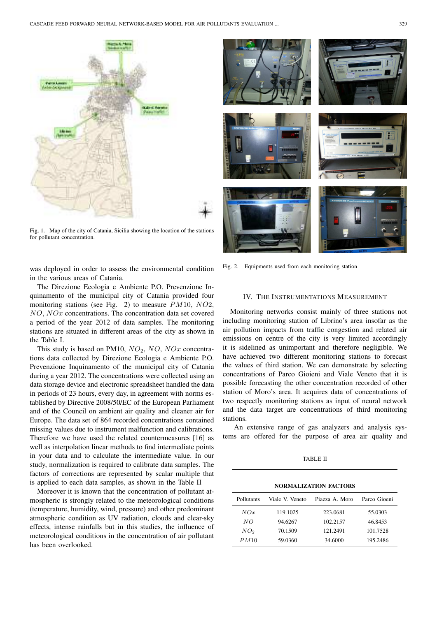

Fig. 1. Map of the city of Catania, Sicilia showing the location of the stations for pollutant concentration.

was deployed in order to assess the environmental condition in the various areas of Catania.

The Direzione Ecologia e Ambiente P.O. Prevenzione Inquinamento of the municipal city of Catania provided four monitoring stations (see Fig. 2) to measure PM10, NO2, NO, NOx concentrations. The concentration data set covered a period of the year 2012 of data samples. The monitoring stations are situated in different areas of the city as shown in the Table I.

This study is based on PM10,  $NO<sub>2</sub>$ ,  $NO<sub>2</sub>$ ,  $NO<sub>x</sub>$  concentrations data collected by Direzione Ecologia e Ambiente P.O. Prevenzione Inquinamento of the municipal city of Catania during a year 2012. The concentrations were collected using an data storage device and electronic spreadsheet handled the data in periods of 23 hours, every day, in agreement with norms established by Directive 2008/50/EC of the European Parliament and of the Council on ambient air quality and cleaner air for Europe. The data set of 864 recorded concentrations contained missing values due to instrument malfunction and calibrations. Therefore we have used the related countermeasures [16] as well as interpolation linear methods to find intermediate points in your data and to calculate the intermediate value. In our study, normalization is required to calibrate data samples. The factors of corrections are represented by scalar multiple that is applied to each data samples, as shown in the Table II

Moreover it is known that the concentration of pollutant atmospheric is strongly related to the meteorological conditions (temperature, humidity, wind, pressure) and other predominant atmospheric condition as UV radiation, clouds and clear-sky effects, intense rainfalls but in this studies, the influence of meteorological conditions in the concentration of air pollutant has been overlooked.



Fig. 2. Equipments used from each monitoring station

## IV. THE INSTRUMENTATIONS MEASUREMENT

Monitoring networks consist mainly of three stations not including monitoring station of Librino's area insofar as the air pollution impacts from traffic congestion and related air emissions on centre of the city is very limited accordingly it is sidelined as unimportant and therefore negligible. We have achieved two different monitoring stations to forecast the values of third station. We can demonstrate by selecting concentrations of Parco Gioieni and Viale Veneto that it is possible forecasting the other concentration recorded of other station of Moro's area. It acquires data of concentrations of two respectly monitoring stations as input of neural network and the data target are concentrations of third monitoring stations.

An extensive range of gas analyzers and analysis systems are offered for the purpose of area air quality and

TABLE II

NORMALIZATION FACTORS

| Pollutants      | Viale V. Veneto | Piazza A Moro | Parco Gioeni |  |  |
|-----------------|-----------------|---------------|--------------|--|--|
| NOx             | 119.1025        | 223.0681      | 55.0303      |  |  |
| NO              | 94.6267         | 102.2157      | 46.8453      |  |  |
| NO <sub>2</sub> | 70.1509         | 121.2491      | 101.7528     |  |  |
| PM10            | 59.0360         | 34.6000       | 195.2486     |  |  |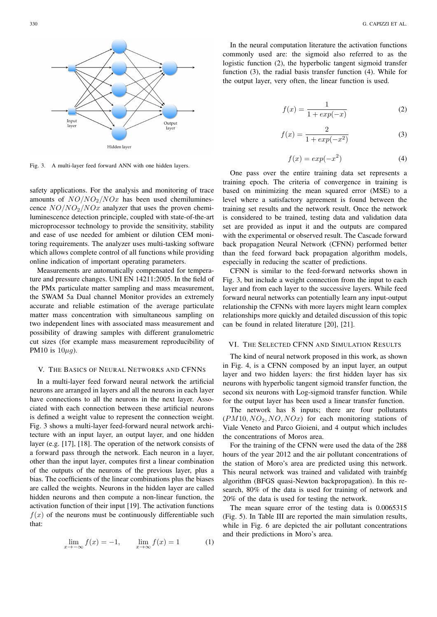

Fig. 3. A multi-layer feed forward ANN with one hidden layers.

safety applications. For the analysis and monitoring of trace amounts of  $NO/NO<sub>2</sub>/NO<sub>x</sub>$  has been used chemiluminescence  $NO/NO_2/NOx$  analyzer that uses the proven chemiluminescence detection principle, coupled with state-of-the-art microprocessor technology to provide the sensitivity, stability and ease of use needed for ambient or dilution CEM monitoring requirements. The analyzer uses multi-tasking software which allows complete control of all functions while providing online indication of important operating parameters.

Measurements are automatically compensated for temperature and pressure changes. UNI EN 14211:2005. In the field of the PMx particulate matter sampling and mass measurement, the SWAM 5a Dual channel Monitor provides an extremely accurate and reliable estimation of the average particulate matter mass concentration with simultaneous sampling on two independent lines with associated mass measurement and possibility of drawing samples with different granulometric cut sizes (for example mass measurement reproducibility of PM10 is  $10\mu g$ ).

#### V. THE BASICS OF NEURAL NETWORKS AND CFNNS

In a multi-layer feed forward neural network the artificial neurons are arranged in layers and all the neurons in each layer have connections to all the neurons in the next layer. Associated with each connection between these artificial neurons is defined a weight value to represent the connection weight. Fig. 3 shows a multi-layer feed-forward neural network architecture with an input layer, an output layer, and one hidden layer (e.g. [17], [18]. The operation of the network consists of a forward pass through the network. Each neuron in a layer, other than the input layer, computes first a linear combination of the outputs of the neurons of the previous layer, plus a bias. The coefficients of the linear combinations plus the biases are called the weights. Neurons in the hidden layer are called hidden neurons and then compute a non-linear function, the activation function of their input [19]. The activation functions  $f(x)$  of the neurons must be continuously differentiable such that:

$$
\lim_{x \to -\infty} f(x) = -1, \qquad \lim_{x \to \infty} f(x) = 1 \tag{1}
$$

In the neural computation literature the activation functions commonly used are: the sigmoid also referred to as the logistic function (2), the hyperbolic tangent sigmoid transfer function (3), the radial basis transfer function (4). While for the output layer, very often, the linear function is used.

$$
f(x) = \frac{1}{1 + exp(-x)}
$$
 (2)

$$
f(x) = \frac{2}{1 + exp(-x^2)}
$$
 (3)

$$
f(x) = exp(-x^2)
$$
 (4)

One pass over the entire training data set represents a training epoch. The criteria of convergence in training is based on minimizing the mean squared error (MSE) to a level where a satisfactory agreement is found between the training set results and the network result. Once the network is considered to be trained, testing data and validation data set are provided as input it and the outputs are compared with the experimental or observed result. The Cascade forward back propagation Neural Network (CFNN) performed better than the feed forward back propagation algorithm models, especially in reducing the scatter of predictions.

CFNN is similar to the feed-forward networks shown in Fig. 3, but include a weight connection from the input to each layer and from each layer to the successive layers. While feed forward neural networks can potentially learn any input-output relationship the CFNNs with more layers might learn complex relationships more quickly and detailed discussion of this topic can be found in related literature [20], [21].

## VI. THE SELECTED CFNN AND SIMULATION RESULTS

The kind of neural network proposed in this work, as shown in Fig. 4, is a CFNN composed by an input layer, an output layer and two hidden layers: the first hidden layer has six neurons with hyperbolic tangent sigmoid transfer function, the second six neurons with Log-sigmoid transfer function. While for the output layer has been used a linear transfer function.

The network has 8 inputs; there are four pollutants  $(PM10, NO_2, NO, NOx)$  for each monitoring stations of Viale Veneto and Parco Gioieni, and 4 output which includes the concentrations of Moros area.

For the training of the CFNN were used the data of the 288 hours of the year 2012 and the air pollutant concentrations of the station of Moro's area are predicted using this network. This neural network was trained and validated with trainbfg algorithm (BFGS quasi-Newton backpropagation). In this research, 80% of the data is used for training of network and 20% of the data is used for testing the network.

The mean square error of the testing data is 0.0065315 (Fig. 5). In Table III are reported the main simulation results, while in Fig. 6 are depicted the air pollutant concentrations and their predictions in Moro's area.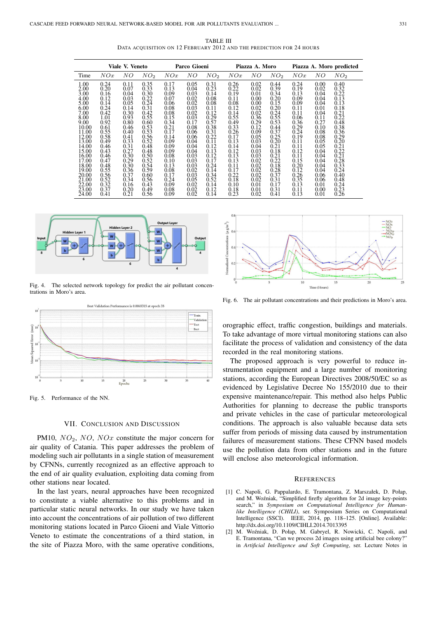TABLE III DATA ACQUISITION ON 12 FEBRUARY 2012 AND THE PREDICTION FOR 24 HOURS

|       | Viale V. Veneto |      |                 | Parco Gioeni |      | Piazza A. Moro  |      | Piazza A. Moro predicted |                 |      |      |                 |
|-------|-----------------|------|-----------------|--------------|------|-----------------|------|--------------------------|-----------------|------|------|-----------------|
| Time  | NOx             | NΟ   | NO <sub>2</sub> | NOx          | NΟ   | NO <sub>2</sub> | NOx  | NΟ                       | NO <sub>2</sub> | NOx  | NΟ   | NO <sub>2</sub> |
| 1.00  | 0.24            | 0.11 | 0.35            | 0.17         | 0.05 | 0.31            | 0.26 | 0.02                     | 0.44            | 0.24 | 0.00 | 0.40            |
| 2.00  | 0.20            | 0.07 | 0.33            | 0.13         | 0.04 | 0.23            | 0.22 | 0.02                     | 0.39            | 0.19 | 0.02 | 0.32            |
| 3.00  | 0.16            | 0.04 | 0.30            | 0.09         | 0.03 | 0.14            | 0.19 | 0.01                     | 0.34            | 0.13 | 0.04 | 0.22            |
| 4.00  | 0.12            | 0.03 | 0.22            | 0.07         | 0.02 | 0.08            | 0.11 | 0.00                     | 0.20            | 0.09 | 0.04 | 0.13            |
| 5.00  | 0.14            | 0.05 | 0.24            | 0.06         | 0.02 | 0.08            | 0.08 | 0.00                     | 0.15            | 0.09 | 0.04 | 0.13            |
| 6.00  | 0.24            | 0.14 | 0.31            | 0.08         | 0.03 | 0.11            | 0.12 | 0.02                     | 0.20            | 0.11 | 0.01 | 0.18            |
| 7.00  | 0.42            | 0.30 | 0.42            | 0.08         | 0.02 | 0.12            | 0.14 | 0.02                     | 0.24            | 0.11 | 0.04 | 0.21            |
| 8.00  | 1.01            | 0.93 | 0.55            | 0.15         | 0.03 | 0.29            | 0.55 | 0.36                     | 0.55            | 0.06 | 0.11 | 0.22            |
| 9.00  | 0.92            | 0.80 | 0.60            | 0.34         | 0.17 | 0.57            | 0.49 | 0.29                     | 0.53            | 0.36 | 0.27 | 0.48            |
| 10.00 | 0.61            | 0.46 | 0.53            | 0.21         | 0.08 | 0.38            | 0.33 | 0.12                     | 0.44            | 0.29 | 0.10 | 0.38            |
| 11.00 | 0.55            | 0.40 | 0.53            | 0.17         | 0.06 | 0.31            | 0.26 | 0.09                     | 0.37            | 0.24 | 0.08 | 0.36            |
| 12.00 | 0.58            | 0.41 | 0.56            | 0.14         | 0.06 | 0.22            | 0.17 | 0.05                     | 0.25            | 0.19 | 0.08 | 0.29            |
| 13.00 | 0.49            | 0.33 | 0.52            | 0.09         | 0.04 | 0.11            | 0.13 | 0.03                     | 0.20            | 0.11 | 0.05 | 0.20            |
| 14.00 | 0.46            | 0.31 | 0.48            | 0.09         | 0.04 | 0.12            | 0.14 | 0.04                     | 0.21            | 0.11 | 0.05 | 0.21            |
| 15.00 | 0.43            | 0.27 | 0.48            | 0.09         | 0.04 | 0.13            | 0.12 | 0.03                     | 0.18            | 0.12 | 0.04 | 0.22            |
| 16.00 | 0.46            | 0.30 | 0.50            | 0.08         | 0.03 | 0.12            | 0.13 | 0.03                     | 0.21            | 0.11 | 0.04 | 0.21            |
| 17.00 | 0.47            | 0.29 | 0.52            | 0.10         | 0.03 | 0.17            | 0.13 | 0.02                     | 0.22            | 0.15 | 0.04 | 0.28            |
| 18.00 | 0.48            | 0.30 | 0.54            | 0.13         | 0.03 | 0.24            | 0.11 | 0.02                     | 0.18            | 0.20 | 0.04 | 0.33            |
| 19.00 | 0.55            | 0.36 | 0.59            | 0.08         | 0.02 | 0.14            | 0.17 | 0.02                     | 0.28            | 0.12 | 0.04 | 0.24            |
| 20.00 | 0.56            | 0.37 | 0.60            | 0.17         | 0.03 | 0.34            | 0.22 | 0.02                     | 0.37            | 0.26 | 0.06 | 0.40            |
| 21.00 | 0.52            | 0.34 | 0.56            | 0.24         | 0.05 | 0.52            | 0.18 | 0.02                     | 0.31            | 0.35 | 0.06 | 0.48            |
| 22.00 | 0.32            | 0.16 | 0.43            | 0.09         | 0.02 | 0.14            | 0.10 | 0.01                     | 0.17            | 0.13 | 0.01 | 0.24            |
| 23.00 | 0.37            | 0.20 | 0.49            | 0.08         | 0.02 | 0.12            | 0.18 | 0.01                     | 0.31            | 0.11 | 0.00 | 0.23            |
| 24.00 | 0.41            | 0.21 | 0.56            | 0.09         | 0.02 | 0.14            | 0.23 | 0.02                     | 0.41            | 0.13 | 0.01 | 0.26            |



Fig. 4. The selected network topology for predict the air pollutant concentrations in Moro's area.



Fig. 5. Performance of the NN.

### VII. CONCLUSION AND DISCUSSION

PM10,  $NO<sub>2</sub>$ ,  $NO<sub>2</sub>$ ,  $NO<sub>3</sub>$  constitute the major concern for air quality of Catania. This paper addresses the problem of modeling such air pollutants in a single station of measurement by CFNNs, currently recognized as an effective approach to the end of air quality evaluation, exploiting data coming from other stations near located.

In the last years, neural approaches have been recognized to constitute a viable alternative to this problems and in particular static neural networks. In our study we have taken into account the concentrations of air pollution of two different monitoring stations located in Parco Gioeni and Viale Vittorio Veneto to estimate the concentrations of a third station, in the site of Piazza Moro, with the same operative conditions,



Fig. 6. The air pollutant concentrations and their predictions in Moro's area.

orographic effect, traffic congestion, buildings and materials. To take advantage of more virtual monitoring stations can also facilitate the process of validation and consistency of the data recorded in the real monitoring stations.

The proposed approach is very powerful to reduce instrumentation equipment and a large number of monitoring stations, according the European Directives 2008/50/EC so as evidenced by Legislative Decree No 155/2010 due to their expensive maintenance/repair. This method also helps Public Authorities for planning to decrease the public transports and private vehicles in the case of particular meteorological conditions. The approach is also valuable because data sets suffer from periods of missing data caused by instrumentation failures of measurement stations. These CFNN based models use the pollution data from other stations and in the future will enclose also meteorological information.

#### **REFERENCES**

- [1] C. Napoli, G. Pappalardo, E. Tramontana, Z. Marszałek, D. Połap, and M. Woźniak, "Simplified firefly algorithm for 2d image key-points search," in *Symposium on Computational Intelligence for Humanlike Intelligence (CHILI)*, ser. Symposium Series on Computational Intelligence (SSCI). IEEE, 2014, pp. 118–125. [Online]. Available: http://dx.doi.org/10.1109/CIHLI.2014.7013395
- M. Woźniak, D. Połap, M. Gabryel, R. Nowicki, C. Napoli, and E. Tramontana, "Can we process 2d images using artificial bee colony? in *Artificial Intelligence and Soft Computing*, ser. Lecture Notes in